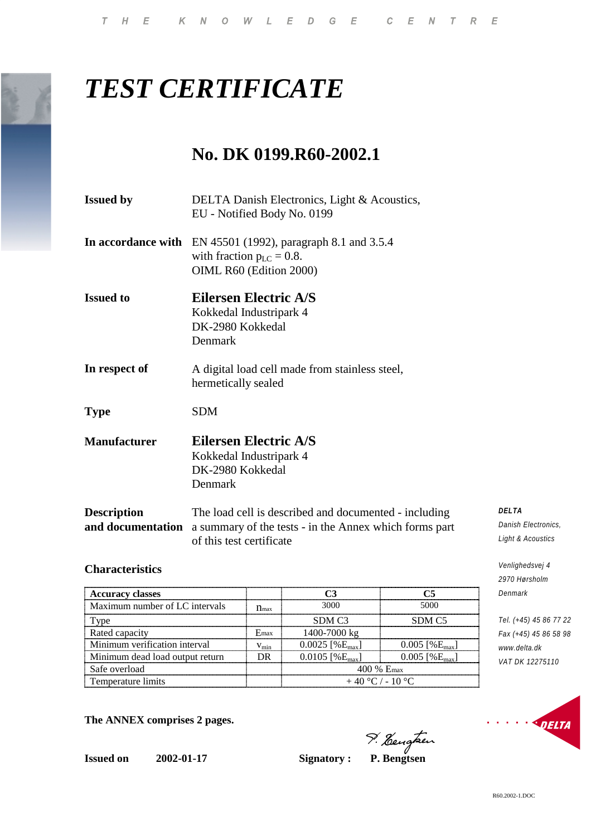# *TEST CERTIFICATE*

# **No. DK 0199.R60-2002.1**

| <b>Issued by</b>                        | DELTA Danish Electronics, Light & Acoustics,<br>EU - Notified Body No. 0199                                     |
|-----------------------------------------|-----------------------------------------------------------------------------------------------------------------|
| In accordance with                      | EN 45501 (1992), paragraph 8.1 and 3.5.4<br>with fraction $p_{LC} = 0.8$ .<br>OIML R60 (Edition 2000)           |
| <b>Issued to</b>                        | <b>Eilersen Electric A/S</b><br>Kokkedal Industripark 4<br>DK-2980 Kokkedal<br>Denmark                          |
| In respect of                           | A digital load cell made from stainless steel,<br>hermetically sealed                                           |
| <b>Type</b>                             | SDM                                                                                                             |
| <b>Manufacturer</b>                     | <b>Eilersen Electric A/S</b><br>Kokkedal Industripark 4<br>DK-2980 Kokkedal<br>Denmark                          |
| <b>Description</b><br>and documentation | The load cell is described and documented - including<br>a summary of the tests - in the Annex which forms part |

of this test certificate

#### **Characteristics**

| <b>Accuracy classes</b>         |                     |                                |                               |  |
|---------------------------------|---------------------|--------------------------------|-------------------------------|--|
| Maximum number of LC intervals  | $\eta_{\text{max}}$ | 3000                           | 5000                          |  |
| <b>v</b> pe                     |                     | SDM C3                         | SDM C5                        |  |
| Rated capacity                  | Emax                | 1400-7000 kg                   |                               |  |
| Minimum verification interval   | V min               | $0.0025$ [% $E_{\text{max}}$ ] | 0.005 [% $E_{\text{max}}$ ]   |  |
| Minimum dead load output return | DR                  | $0.0105$ [% $E_{\text{max}}$ ] | $0.005$ [% $E_{\text{max}}$ ] |  |
| Safe overload                   |                     | $400\%$ E <sub>max</sub>       |                               |  |
| Temperature limits              |                     | $+40$ °C / - 10 °C             |                               |  |

**The ANNEX comprises 2 pages.**

**Issued on 2002-01-17 Signatory : P. Bengtsen**

*DELTA*

*Danish Electronics, Light & Acoustics*

*Venlighedsvej 4 2970 Hørsholm Denmark*

*Tel. (+45) 45 86 77 22 Fax (+45) 45 86 58 98 www.delta.dk VAT DK 12275110*

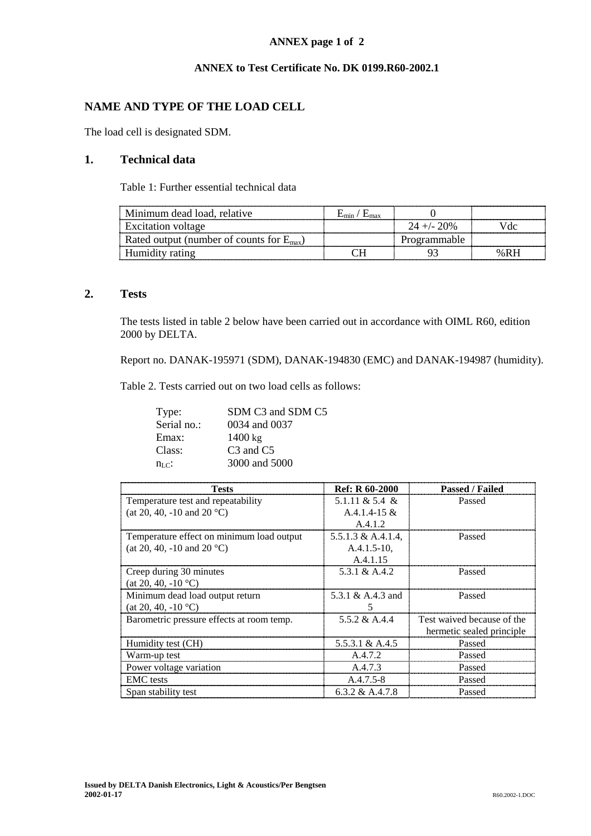## **ANNEX page 1 of 2**

# **ANNEX to Test Certificate No. DK 0199.R60-2002.1**

# **NAME AND TYPE OF THE LOAD CELL**

The load cell is designated SDM.

# **1. Technical data**

Table 1: Further essential technical data

| Minimum dead load, relative                           | $\mathbf{L}_{\text{min}}$ / |              |           |
|-------------------------------------------------------|-----------------------------|--------------|-----------|
| <b>Excitation voltage</b>                             |                             | $24 + 20\%$  |           |
| Rated output (number of counts for $E_{\text{max}}$ ) |                             | Programmable |           |
| Humidity rating                                       |                             |              | $0/2$ R H |

#### **2. Tests**

The tests listed in table 2 below have been carried out in accordance with OIML R60, edition 2000 by DELTA.

Report no. DANAK-195971 (SDM), DANAK-194830 (EMC) and DANAK-194987 (humidity).

Table 2. Tests carried out on two load cells as follows:

| Type:          | SDM C3 and SDM C5                 |
|----------------|-----------------------------------|
| Serial no.:    | 0034 and 0037                     |
| Emax:          | $1400 \text{ kg}$                 |
| Class:         | C <sub>3</sub> and C <sub>5</sub> |
| $n_{\rm LC}$ : | 3000 and 5000                     |

| Tests                                     | <b>Ref: R 60-2000</b> | <b>Passed / Failed</b>     |
|-------------------------------------------|-----------------------|----------------------------|
| Temperature test and repeatability        | 5.1.11 & 5.4 &        | Passed                     |
| (at 20, 40, -10 and 20 $^{\circ}$ C)      | $A.4.1.4-15 \&$       |                            |
|                                           | A.4.1.2               |                            |
| Temperature effect on minimum load output | $5.5.1.3 \& A.4.1.4$  | Passed                     |
| (at 20, 40, -10 and 20 $^{\circ}$ C)      | $A.4.1.5-10$ ,        |                            |
|                                           | A.4.1.15              |                            |
| Creep during 30 minutes                   | 5.3.1 & A.4.2         | Passed                     |
| (at 20, 40, $-10$ °C)                     |                       |                            |
| Minimum dead load output return           | 5.3.1 & A.4.3 and     | Passed                     |
| (at 20, 40, $-10$ °C)                     |                       |                            |
| Barometric pressure effects at room temp. | 5.5.2 & A.4.4         | Test waived because of the |
|                                           |                       | hermetic sealed principle  |
| Humidity test (CH)                        | 5.5.3.1 & A.4.5       | Passed                     |
| Warm-up test                              | A.4.7.2               | Passed                     |
| Power voltage variation                   | A.4.7.3               | Passed                     |
| <b>EMC</b> tests                          | $A.4.7.5-8$           | Passed                     |
| Span stability test                       | 6.3.2 & A.4.7.8       | Passed                     |